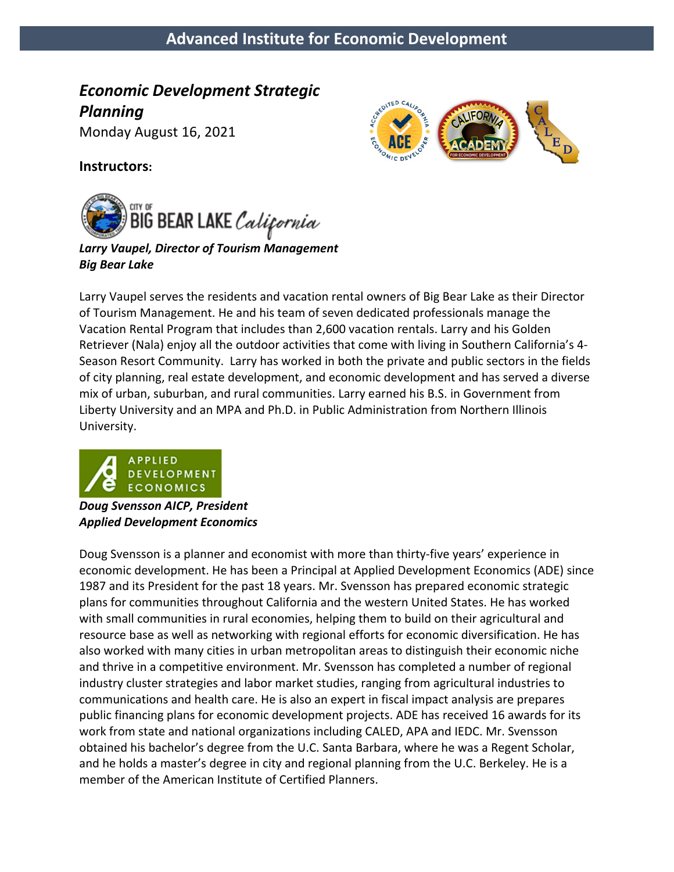# **Advanced Institute for Economic Development**

**TED CA** 

*Economic Development Strategic Planning* 

Monday August 16, 2021

#### **Instructors:**



*Larry Vaupel, Director of Tourism Management Big Bear Lake*

Larry Vaupel serves the residents and vacation rental owners of Big Bear Lake as their Director of Tourism Management. He and his team of seven dedicated professionals manage the Vacation Rental Program that includes than 2,600 vacation rentals. Larry and his Golden Retriever (Nala) enjoy all the outdoor activities that come with living in Southern California's 4- Season Resort Community. Larry has worked in both the private and public sectors in the fields of city planning, real estate development, and economic development and has served a diverse mix of urban, suburban, and rural communities. Larry earned his B.S. in Government from Liberty University and an MPA and Ph.D. in Public Administration from Northern Illinois University.



*Doug Svensson AICP, President Applied Development Economics*

Doug Svensson is a planner and economist with more than thirty-five years' experience in economic development. He has been a Principal at Applied Development Economics (ADE) since 1987 and its President for the past 18 years. Mr. Svensson has prepared economic strategic plans for communities throughout California and the western United States. He has worked with small communities in rural economies, helping them to build on their agricultural and resource base as well as networking with regional efforts for economic diversification. He has also worked with many cities in urban metropolitan areas to distinguish their economic niche and thrive in a competitive environment. Mr. Svensson has completed a number of regional industry cluster strategies and labor market studies, ranging from agricultural industries to communications and health care. He is also an expert in fiscal impact analysis are prepares public financing plans for economic development projects. ADE has received 16 awards for its work from state and national organizations including CALED, APA and IEDC. Mr. Svensson obtained his bachelor's degree from the U.C. Santa Barbara, where he was a Regent Scholar, and he holds a master's degree in city and regional planning from the U.C. Berkeley. He is a member of the American Institute of Certified Planners.